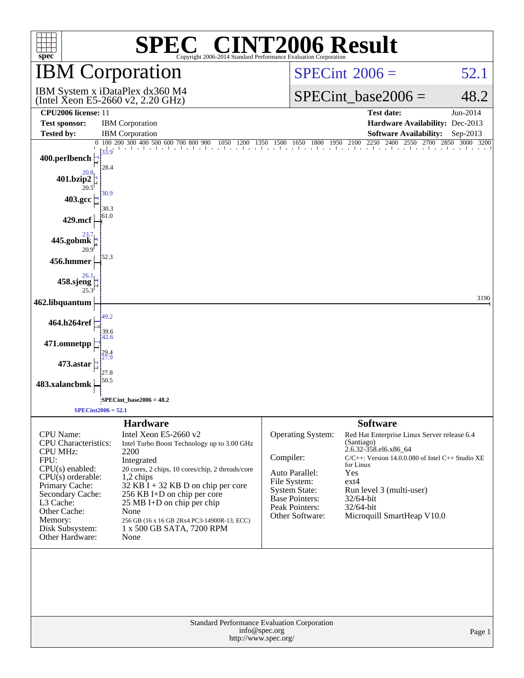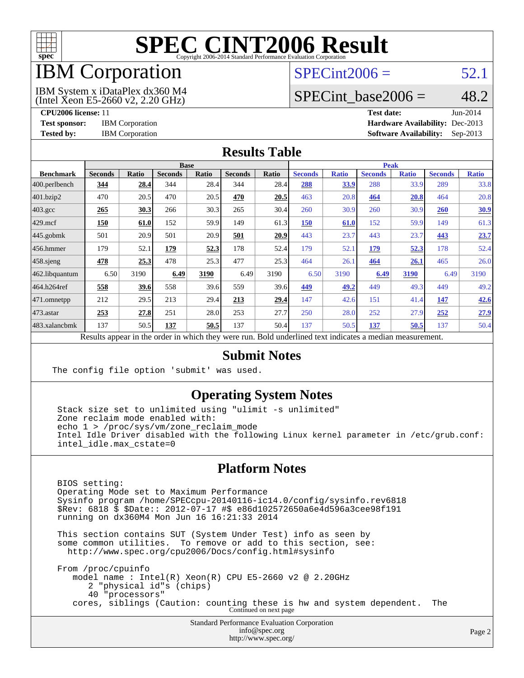

## IBM Corporation

#### $SPECint2006 = 52.1$  $SPECint2006 = 52.1$

(Intel Xeon E5-2660 v2, 2.20 GHz) IBM System x iDataPlex dx360 M4 SPECint base2006 =  $48.2$ 

**[CPU2006 license:](http://www.spec.org/auto/cpu2006/Docs/result-fields.html#CPU2006license)** 11 **[Test date:](http://www.spec.org/auto/cpu2006/Docs/result-fields.html#Testdate)** Jun-2014 **[Test sponsor:](http://www.spec.org/auto/cpu2006/Docs/result-fields.html#Testsponsor)** IBM Corporation **[Hardware Availability:](http://www.spec.org/auto/cpu2006/Docs/result-fields.html#HardwareAvailability)** Dec-2013 **[Tested by:](http://www.spec.org/auto/cpu2006/Docs/result-fields.html#Testedby)** IBM Corporation **[Software Availability:](http://www.spec.org/auto/cpu2006/Docs/result-fields.html#SoftwareAvailability)** Sep-2013

#### **[Results Table](http://www.spec.org/auto/cpu2006/Docs/result-fields.html#ResultsTable)**

|                  | <b>Base</b>                                                      |       |                |       | <b>Peak</b>    |             |                                                      |              |                |              |                |              |
|------------------|------------------------------------------------------------------|-------|----------------|-------|----------------|-------------|------------------------------------------------------|--------------|----------------|--------------|----------------|--------------|
| <b>Benchmark</b> | <b>Seconds</b>                                                   | Ratio | <b>Seconds</b> | Ratio | <b>Seconds</b> | Ratio       | <b>Seconds</b>                                       | <b>Ratio</b> | <b>Seconds</b> | <b>Ratio</b> | <b>Seconds</b> | <b>Ratio</b> |
| 400.perlbench    | 344                                                              | 28.4  | 344            | 28.4  | 344            | 28.4        | 288                                                  | <u>33.9</u>  | 288            | 33.9         | 289            | 33.8         |
| 401.bzip2        | 470                                                              | 20.5  | 470            | 20.5  | 470            | 20.5        | 463                                                  | 20.8         | 464            | 20.8         | 464            | 20.8         |
| $403.\text{gcc}$ | 265                                                              | 30.3  | 266            | 30.3  | 265            | 30.4        | 260                                                  | 30.9         | 260            | 30.9         | 260            | 30.9         |
| $429$ .mcf       | 150                                                              | 61.0  | 152            | 59.9  | 149            | 61.3        | <b>150</b>                                           | 61.0         | 152            | 59.9         | 149            | 61.3         |
| $445$ .gobmk     | 501                                                              | 20.9  | 501            | 20.9  | 501            | 20.9        | 443                                                  | 23.7         | 443            | 23.7         | 443            | 23.7         |
| 456.hmmer        | 179                                                              | 52.1  | 179            | 52.3  | 178            | 52.4        | 179                                                  | 52.1         | 179            | 52.3         | 178            | 52.4         |
| $458$ .sjeng     | 478                                                              | 25.3  | 478            | 25.3  | 477            | 25.3        | 464                                                  | 26.1         | 464            | 26.1         | 465            | 26.0         |
| 462.libquantum   | 6.50                                                             | 3190  | 6.49           | 3190  | 6.49           | 3190        | 6.50                                                 | 3190         | 6.49           | 3190         | 6.49           | 3190         |
| 464.h264ref      | 558                                                              | 39.6  | 558            | 39.6  | 559            | 39.6        | 449                                                  | 49.2         | 449            | 49.3         | 449            | 49.2         |
| 471.omnetpp      | 212                                                              | 29.5  | 213            | 29.4  | 213            | <u>29.4</u> | 147                                                  | 42.6         | 151            | 41.4         | 147            | 42.6         |
| $ 473$ . astar   | 253                                                              | 27.8  | 251            | 28.0  | 253            | 27.7        | 250                                                  | 28.0         | 252            | 27.9         | 252            | 27.9         |
| 483.xalancbmk    | 137                                                              | 50.5  | 137            | 50.5  | 137            | 50.4        | 137                                                  | 50.5         | 137            | 50.5         | 137            | 50.4         |
|                  | Describe encourage in the conduction withink these countries are |       |                |       |                |             | Dald conductived text indicates a median measurement |              |                |              |                |              |

Results appear in the [order in which they were run.](http://www.spec.org/auto/cpu2006/Docs/result-fields.html#RunOrder) Bold underlined text [indicates a median measurement.](http://www.spec.org/auto/cpu2006/Docs/result-fields.html#Median)

#### **[Submit Notes](http://www.spec.org/auto/cpu2006/Docs/result-fields.html#SubmitNotes)**

The config file option 'submit' was used.

#### **[Operating System Notes](http://www.spec.org/auto/cpu2006/Docs/result-fields.html#OperatingSystemNotes)**

 Stack size set to unlimited using "ulimit -s unlimited" Zone reclaim mode enabled with: echo 1 > /proc/sys/vm/zone reclaim mode Intel Idle Driver disabled with the following Linux kernel parameter in /etc/grub.conf: intel\_idle.max\_cstate=0

#### **[Platform Notes](http://www.spec.org/auto/cpu2006/Docs/result-fields.html#PlatformNotes)**

 BIOS setting: Operating Mode set to Maximum Performance Sysinfo program /home/SPECcpu-20140116-ic14.0/config/sysinfo.rev6818 \$Rev: 6818 \$ \$Date:: 2012-07-17 #\$ e86d102572650a6e4d596a3cee98f191 running on dx360M4 Mon Jun 16 16:21:33 2014

 This section contains SUT (System Under Test) info as seen by some common utilities. To remove or add to this section, see: <http://www.spec.org/cpu2006/Docs/config.html#sysinfo>

 From /proc/cpuinfo model name : Intel(R) Xeon(R) CPU E5-2660 v2 @ 2.20GHz 2 "physical id"s (chips) 40 "processors" cores, siblings (Caution: counting these is hw and system dependent. The Continued on next page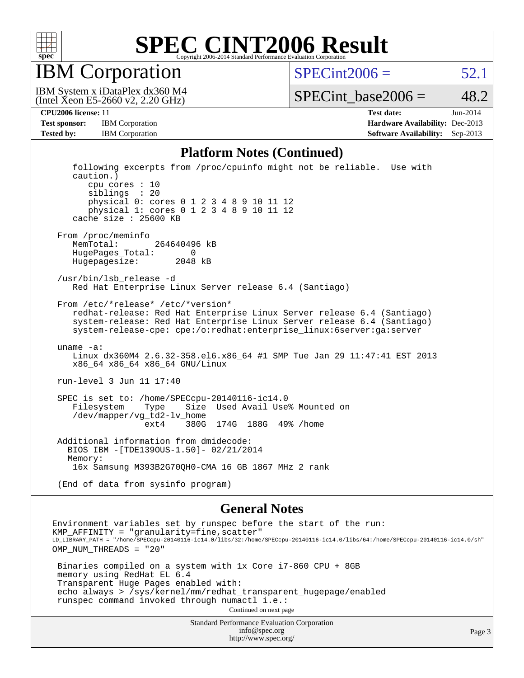

IBM Corporation

 $SPECint2006 = 52.1$  $SPECint2006 = 52.1$ 

(Intel Xeon E5-2660 v2, 2.20 GHz) IBM System x iDataPlex dx360 M4

SPECint base2006 =  $48.2$ 

|                   | <b>Test sponsor:</b> IBM Corporation | <b>Hardware Availability: Dec-2013</b> |  |
|-------------------|--------------------------------------|----------------------------------------|--|
| <b>Tested by:</b> | <b>IBM</b> Corporation               | <b>Software Availability:</b> Sep-2013 |  |

**[CPU2006 license:](http://www.spec.org/auto/cpu2006/Docs/result-fields.html#CPU2006license)** 11 **[Test date:](http://www.spec.org/auto/cpu2006/Docs/result-fields.html#Testdate)** Jun-2014 **[Test sponsor:](http://www.spec.org/auto/cpu2006/Docs/result-fields.html#Testsponsor)** IBM Corporation **[Hardware Availability:](http://www.spec.org/auto/cpu2006/Docs/result-fields.html#HardwareAvailability)** Dec-2013

#### **[Platform Notes \(Continued\)](http://www.spec.org/auto/cpu2006/Docs/result-fields.html#PlatformNotes)**

 following excerpts from /proc/cpuinfo might not be reliable. Use with caution.) cpu cores : 10 siblings : 20 physical 0: cores 0 1 2 3 4 8 9 10 11 12 physical 1: cores 0 1 2 3 4 8 9 10 11 12 cache size : 25600 KB From /proc/meminfo MemTotal: 264640496 kB HugePages\_Total: 0 Hugepagesize: 2048 kB /usr/bin/lsb\_release -d Red Hat Enterprise Linux Server release 6.4 (Santiago) From /etc/\*release\* /etc/\*version\* redhat-release: Red Hat Enterprise Linux Server release 6.4 (Santiago) system-release: Red Hat Enterprise Linux Server release 6.4 (Santiago) system-release-cpe: cpe:/o:redhat:enterprise\_linux:6server:ga:server uname -a: Linux dx360M4 2.6.32-358.el6.x86\_64 #1 SMP Tue Jan 29 11:47:41 EST 2013 x86\_64 x86\_64 x86\_64 GNU/Linux run-level 3 Jun 11 17:40 SPEC is set to: /home/SPECcpu-20140116-ic14.0 Filesystem Type Size Used Avail Use% Mounted on /dev/mapper/vg\_td2-lv\_home ext4 380G 174G 188G 49% /home Additional information from dmidecode: BIOS IBM -[TDE139OUS-1.50]- 02/21/2014 Memory: 16x Samsung M393B2G70QH0-CMA 16 GB 1867 MHz 2 rank (End of data from sysinfo program)

#### **[General Notes](http://www.spec.org/auto/cpu2006/Docs/result-fields.html#GeneralNotes)**

Environment variables set by runspec before the start of the run:  $KMP_A$ FFINITY = "granularity=fine, scatter" LD\_LIBRARY\_PATH = "/home/SPECcpu-20140116-ic14.0/libs/32:/home/SPECcpu-20140116-ic14.0/libs/64:/home/SPECcpu-20140116-ic14.0/sh" OMP\_NUM\_THREADS = "20" Binaries compiled on a system with 1x Core i7-860 CPU + 8GB memory using RedHat EL 6.4 Transparent Huge Pages enabled with: echo always > /sys/kernel/mm/redhat\_transparent\_hugepage/enabled runspec command invoked through numactl i.e.: Continued on next page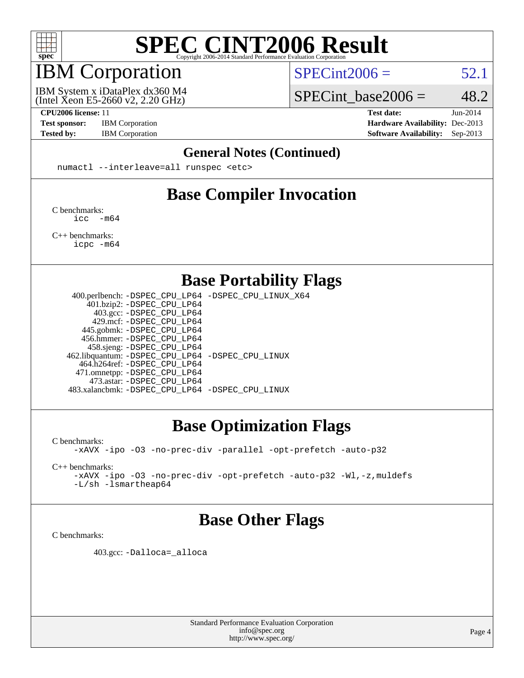

## IBM Corporation

IBM System x iDataPlex dx360 M4

 $SPECint2006 = 52.1$  $SPECint2006 = 52.1$ 

(Intel Xeon E5-2660 v2, 2.20 GHz)

**[Test sponsor:](http://www.spec.org/auto/cpu2006/Docs/result-fields.html#Testsponsor)** IBM Corporation **[Hardware Availability:](http://www.spec.org/auto/cpu2006/Docs/result-fields.html#HardwareAvailability)** Dec-2013

SPECint base2006 =  $48.2$ **[CPU2006 license:](http://www.spec.org/auto/cpu2006/Docs/result-fields.html#CPU2006license)** 11 **[Test date:](http://www.spec.org/auto/cpu2006/Docs/result-fields.html#Testdate)** Jun-2014

**[Tested by:](http://www.spec.org/auto/cpu2006/Docs/result-fields.html#Testedby)** IBM Corporation **[Software Availability:](http://www.spec.org/auto/cpu2006/Docs/result-fields.html#SoftwareAvailability)** Sep-2013

#### **[General Notes \(Continued\)](http://www.spec.org/auto/cpu2006/Docs/result-fields.html#GeneralNotes)**

numactl --interleave=all runspec <etc>

### **[Base Compiler Invocation](http://www.spec.org/auto/cpu2006/Docs/result-fields.html#BaseCompilerInvocation)**

[C benchmarks](http://www.spec.org/auto/cpu2006/Docs/result-fields.html#Cbenchmarks): [icc -m64](http://www.spec.org/cpu2006/results/res2014q3/cpu2006-20140617-29943.flags.html#user_CCbase_intel_icc_64bit_f346026e86af2a669e726fe758c88044)

[C++ benchmarks:](http://www.spec.org/auto/cpu2006/Docs/result-fields.html#CXXbenchmarks) [icpc -m64](http://www.spec.org/cpu2006/results/res2014q3/cpu2006-20140617-29943.flags.html#user_CXXbase_intel_icpc_64bit_fc66a5337ce925472a5c54ad6a0de310)

**[Base Portability Flags](http://www.spec.org/auto/cpu2006/Docs/result-fields.html#BasePortabilityFlags)**

 400.perlbench: [-DSPEC\\_CPU\\_LP64](http://www.spec.org/cpu2006/results/res2014q3/cpu2006-20140617-29943.flags.html#b400.perlbench_basePORTABILITY_DSPEC_CPU_LP64) [-DSPEC\\_CPU\\_LINUX\\_X64](http://www.spec.org/cpu2006/results/res2014q3/cpu2006-20140617-29943.flags.html#b400.perlbench_baseCPORTABILITY_DSPEC_CPU_LINUX_X64) 401.bzip2: [-DSPEC\\_CPU\\_LP64](http://www.spec.org/cpu2006/results/res2014q3/cpu2006-20140617-29943.flags.html#suite_basePORTABILITY401_bzip2_DSPEC_CPU_LP64) 403.gcc: [-DSPEC\\_CPU\\_LP64](http://www.spec.org/cpu2006/results/res2014q3/cpu2006-20140617-29943.flags.html#suite_basePORTABILITY403_gcc_DSPEC_CPU_LP64) 429.mcf: [-DSPEC\\_CPU\\_LP64](http://www.spec.org/cpu2006/results/res2014q3/cpu2006-20140617-29943.flags.html#suite_basePORTABILITY429_mcf_DSPEC_CPU_LP64) 445.gobmk: [-DSPEC\\_CPU\\_LP64](http://www.spec.org/cpu2006/results/res2014q3/cpu2006-20140617-29943.flags.html#suite_basePORTABILITY445_gobmk_DSPEC_CPU_LP64) 456.hmmer: [-DSPEC\\_CPU\\_LP64](http://www.spec.org/cpu2006/results/res2014q3/cpu2006-20140617-29943.flags.html#suite_basePORTABILITY456_hmmer_DSPEC_CPU_LP64) 458.sjeng: [-DSPEC\\_CPU\\_LP64](http://www.spec.org/cpu2006/results/res2014q3/cpu2006-20140617-29943.flags.html#suite_basePORTABILITY458_sjeng_DSPEC_CPU_LP64) 462.libquantum: [-DSPEC\\_CPU\\_LP64](http://www.spec.org/cpu2006/results/res2014q3/cpu2006-20140617-29943.flags.html#suite_basePORTABILITY462_libquantum_DSPEC_CPU_LP64) [-DSPEC\\_CPU\\_LINUX](http://www.spec.org/cpu2006/results/res2014q3/cpu2006-20140617-29943.flags.html#b462.libquantum_baseCPORTABILITY_DSPEC_CPU_LINUX) 464.h264ref: [-DSPEC\\_CPU\\_LP64](http://www.spec.org/cpu2006/results/res2014q3/cpu2006-20140617-29943.flags.html#suite_basePORTABILITY464_h264ref_DSPEC_CPU_LP64) 471.omnetpp: [-DSPEC\\_CPU\\_LP64](http://www.spec.org/cpu2006/results/res2014q3/cpu2006-20140617-29943.flags.html#suite_basePORTABILITY471_omnetpp_DSPEC_CPU_LP64) 473.astar: [-DSPEC\\_CPU\\_LP64](http://www.spec.org/cpu2006/results/res2014q3/cpu2006-20140617-29943.flags.html#suite_basePORTABILITY473_astar_DSPEC_CPU_LP64) 483.xalancbmk: [-DSPEC\\_CPU\\_LP64](http://www.spec.org/cpu2006/results/res2014q3/cpu2006-20140617-29943.flags.html#suite_basePORTABILITY483_xalancbmk_DSPEC_CPU_LP64) [-DSPEC\\_CPU\\_LINUX](http://www.spec.org/cpu2006/results/res2014q3/cpu2006-20140617-29943.flags.html#b483.xalancbmk_baseCXXPORTABILITY_DSPEC_CPU_LINUX)

#### **[Base Optimization Flags](http://www.spec.org/auto/cpu2006/Docs/result-fields.html#BaseOptimizationFlags)**

[C benchmarks](http://www.spec.org/auto/cpu2006/Docs/result-fields.html#Cbenchmarks):

[-xAVX](http://www.spec.org/cpu2006/results/res2014q3/cpu2006-20140617-29943.flags.html#user_CCbase_f-xAVX) [-ipo](http://www.spec.org/cpu2006/results/res2014q3/cpu2006-20140617-29943.flags.html#user_CCbase_f-ipo) [-O3](http://www.spec.org/cpu2006/results/res2014q3/cpu2006-20140617-29943.flags.html#user_CCbase_f-O3) [-no-prec-div](http://www.spec.org/cpu2006/results/res2014q3/cpu2006-20140617-29943.flags.html#user_CCbase_f-no-prec-div) [-parallel](http://www.spec.org/cpu2006/results/res2014q3/cpu2006-20140617-29943.flags.html#user_CCbase_f-parallel) [-opt-prefetch](http://www.spec.org/cpu2006/results/res2014q3/cpu2006-20140617-29943.flags.html#user_CCbase_f-opt-prefetch) [-auto-p32](http://www.spec.org/cpu2006/results/res2014q3/cpu2006-20140617-29943.flags.html#user_CCbase_f-auto-p32)

[C++ benchmarks:](http://www.spec.org/auto/cpu2006/Docs/result-fields.html#CXXbenchmarks)

[-xAVX](http://www.spec.org/cpu2006/results/res2014q3/cpu2006-20140617-29943.flags.html#user_CXXbase_f-xAVX) [-ipo](http://www.spec.org/cpu2006/results/res2014q3/cpu2006-20140617-29943.flags.html#user_CXXbase_f-ipo) [-O3](http://www.spec.org/cpu2006/results/res2014q3/cpu2006-20140617-29943.flags.html#user_CXXbase_f-O3) [-no-prec-div](http://www.spec.org/cpu2006/results/res2014q3/cpu2006-20140617-29943.flags.html#user_CXXbase_f-no-prec-div) [-opt-prefetch](http://www.spec.org/cpu2006/results/res2014q3/cpu2006-20140617-29943.flags.html#user_CXXbase_f-opt-prefetch) [-auto-p32](http://www.spec.org/cpu2006/results/res2014q3/cpu2006-20140617-29943.flags.html#user_CXXbase_f-auto-p32) [-Wl,-z,muldefs](http://www.spec.org/cpu2006/results/res2014q3/cpu2006-20140617-29943.flags.html#user_CXXbase_link_force_multiple1_74079c344b956b9658436fd1b6dd3a8a) [-L/sh -lsmartheap64](http://www.spec.org/cpu2006/results/res2014q3/cpu2006-20140617-29943.flags.html#user_CXXbase_SmartHeap64_ed4ef857ce90951921efb0d91eb88472)

#### **[Base Other Flags](http://www.spec.org/auto/cpu2006/Docs/result-fields.html#BaseOtherFlags)**

[C benchmarks](http://www.spec.org/auto/cpu2006/Docs/result-fields.html#Cbenchmarks):

403.gcc: [-Dalloca=\\_alloca](http://www.spec.org/cpu2006/results/res2014q3/cpu2006-20140617-29943.flags.html#b403.gcc_baseEXTRA_CFLAGS_Dalloca_be3056838c12de2578596ca5467af7f3)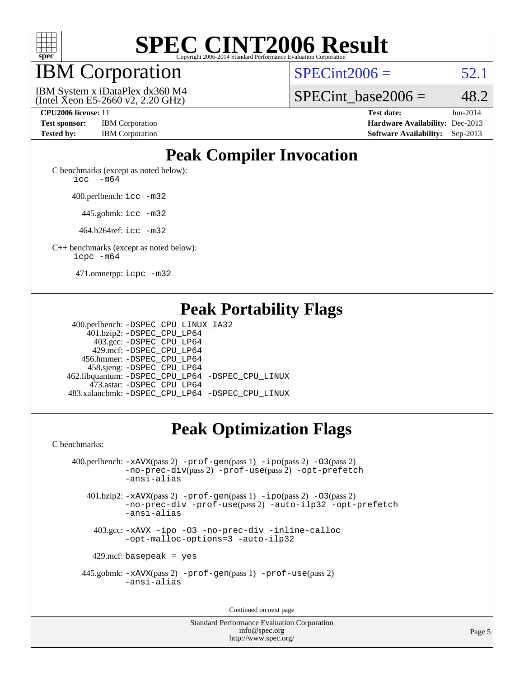

## IBM Corporation

 $SPECint2006 = 52.1$  $SPECint2006 = 52.1$ 

(Intel Xeon E5-2660 v2, 2.20 GHz) IBM System x iDataPlex dx360 M4 SPECint base2006 =  $48.2$ 

| <b>Test sponsor:</b> | <b>IBM</b> Corporation |
|----------------------|------------------------|
| <b>Tested by:</b>    | <b>IBM</b> Corporation |

**[CPU2006 license:](http://www.spec.org/auto/cpu2006/Docs/result-fields.html#CPU2006license)** 11 **[Test date:](http://www.spec.org/auto/cpu2006/Docs/result-fields.html#Testdate)** Jun-2014 **[Hardware Availability:](http://www.spec.org/auto/cpu2006/Docs/result-fields.html#HardwareAvailability)** Dec-2013 **[Software Availability:](http://www.spec.org/auto/cpu2006/Docs/result-fields.html#SoftwareAvailability)** Sep-2013

### **[Peak Compiler Invocation](http://www.spec.org/auto/cpu2006/Docs/result-fields.html#PeakCompilerInvocation)**

[C benchmarks \(except as noted below\)](http://www.spec.org/auto/cpu2006/Docs/result-fields.html#Cbenchmarksexceptasnotedbelow): icc  $-m64$ 

400.perlbench: [icc -m32](http://www.spec.org/cpu2006/results/res2014q3/cpu2006-20140617-29943.flags.html#user_peakCCLD400_perlbench_intel_icc_a6a621f8d50482236b970c6ac5f55f93)

445.gobmk: [icc -m32](http://www.spec.org/cpu2006/results/res2014q3/cpu2006-20140617-29943.flags.html#user_peakCCLD445_gobmk_intel_icc_a6a621f8d50482236b970c6ac5f55f93)

464.h264ref: [icc -m32](http://www.spec.org/cpu2006/results/res2014q3/cpu2006-20140617-29943.flags.html#user_peakCCLD464_h264ref_intel_icc_a6a621f8d50482236b970c6ac5f55f93)

[C++ benchmarks \(except as noted below\):](http://www.spec.org/auto/cpu2006/Docs/result-fields.html#CXXbenchmarksexceptasnotedbelow) [icpc -m64](http://www.spec.org/cpu2006/results/res2014q3/cpu2006-20140617-29943.flags.html#user_CXXpeak_intel_icpc_64bit_fc66a5337ce925472a5c54ad6a0de310)

471.omnetpp: [icpc -m32](http://www.spec.org/cpu2006/results/res2014q3/cpu2006-20140617-29943.flags.html#user_peakCXXLD471_omnetpp_intel_icpc_4e5a5ef1a53fd332b3c49e69c3330699)

### **[Peak Portability Flags](http://www.spec.org/auto/cpu2006/Docs/result-fields.html#PeakPortabilityFlags)**

 400.perlbench: [-DSPEC\\_CPU\\_LINUX\\_IA32](http://www.spec.org/cpu2006/results/res2014q3/cpu2006-20140617-29943.flags.html#b400.perlbench_peakCPORTABILITY_DSPEC_CPU_LINUX_IA32) 401.bzip2: [-DSPEC\\_CPU\\_LP64](http://www.spec.org/cpu2006/results/res2014q3/cpu2006-20140617-29943.flags.html#suite_peakPORTABILITY401_bzip2_DSPEC_CPU_LP64) 403.gcc: [-DSPEC\\_CPU\\_LP64](http://www.spec.org/cpu2006/results/res2014q3/cpu2006-20140617-29943.flags.html#suite_peakPORTABILITY403_gcc_DSPEC_CPU_LP64) 429.mcf: [-DSPEC\\_CPU\\_LP64](http://www.spec.org/cpu2006/results/res2014q3/cpu2006-20140617-29943.flags.html#suite_peakPORTABILITY429_mcf_DSPEC_CPU_LP64) 456.hmmer: [-DSPEC\\_CPU\\_LP64](http://www.spec.org/cpu2006/results/res2014q3/cpu2006-20140617-29943.flags.html#suite_peakPORTABILITY456_hmmer_DSPEC_CPU_LP64) 458.sjeng: [-DSPEC\\_CPU\\_LP64](http://www.spec.org/cpu2006/results/res2014q3/cpu2006-20140617-29943.flags.html#suite_peakPORTABILITY458_sjeng_DSPEC_CPU_LP64) 462.libquantum: [-DSPEC\\_CPU\\_LP64](http://www.spec.org/cpu2006/results/res2014q3/cpu2006-20140617-29943.flags.html#suite_peakPORTABILITY462_libquantum_DSPEC_CPU_LP64) [-DSPEC\\_CPU\\_LINUX](http://www.spec.org/cpu2006/results/res2014q3/cpu2006-20140617-29943.flags.html#b462.libquantum_peakCPORTABILITY_DSPEC_CPU_LINUX) 473.astar: [-DSPEC\\_CPU\\_LP64](http://www.spec.org/cpu2006/results/res2014q3/cpu2006-20140617-29943.flags.html#suite_peakPORTABILITY473_astar_DSPEC_CPU_LP64) 483.xalancbmk: [-DSPEC\\_CPU\\_LP64](http://www.spec.org/cpu2006/results/res2014q3/cpu2006-20140617-29943.flags.html#suite_peakPORTABILITY483_xalancbmk_DSPEC_CPU_LP64) [-DSPEC\\_CPU\\_LINUX](http://www.spec.org/cpu2006/results/res2014q3/cpu2006-20140617-29943.flags.html#b483.xalancbmk_peakCXXPORTABILITY_DSPEC_CPU_LINUX)

### **[Peak Optimization Flags](http://www.spec.org/auto/cpu2006/Docs/result-fields.html#PeakOptimizationFlags)**

[C benchmarks](http://www.spec.org/auto/cpu2006/Docs/result-fields.html#Cbenchmarks):

 400.perlbench: [-xAVX](http://www.spec.org/cpu2006/results/res2014q3/cpu2006-20140617-29943.flags.html#user_peakPASS2_CFLAGSPASS2_LDCFLAGS400_perlbench_f-xAVX)(pass 2) [-prof-gen](http://www.spec.org/cpu2006/results/res2014q3/cpu2006-20140617-29943.flags.html#user_peakPASS1_CFLAGSPASS1_LDCFLAGS400_perlbench_prof_gen_e43856698f6ca7b7e442dfd80e94a8fc)(pass 1) [-ipo](http://www.spec.org/cpu2006/results/res2014q3/cpu2006-20140617-29943.flags.html#user_peakPASS2_CFLAGSPASS2_LDCFLAGS400_perlbench_f-ipo)(pass 2) [-O3](http://www.spec.org/cpu2006/results/res2014q3/cpu2006-20140617-29943.flags.html#user_peakPASS2_CFLAGSPASS2_LDCFLAGS400_perlbench_f-O3)(pass 2) [-no-prec-div](http://www.spec.org/cpu2006/results/res2014q3/cpu2006-20140617-29943.flags.html#user_peakPASS2_CFLAGSPASS2_LDCFLAGS400_perlbench_f-no-prec-div)(pass 2) [-prof-use](http://www.spec.org/cpu2006/results/res2014q3/cpu2006-20140617-29943.flags.html#user_peakPASS2_CFLAGSPASS2_LDCFLAGS400_perlbench_prof_use_bccf7792157ff70d64e32fe3e1250b55)(pass 2) [-opt-prefetch](http://www.spec.org/cpu2006/results/res2014q3/cpu2006-20140617-29943.flags.html#user_peakCOPTIMIZE400_perlbench_f-opt-prefetch) [-ansi-alias](http://www.spec.org/cpu2006/results/res2014q3/cpu2006-20140617-29943.flags.html#user_peakCOPTIMIZE400_perlbench_f-ansi-alias) 401.bzip2: [-xAVX](http://www.spec.org/cpu2006/results/res2014q3/cpu2006-20140617-29943.flags.html#user_peakPASS2_CFLAGSPASS2_LDCFLAGS401_bzip2_f-xAVX)(pass 2) [-prof-gen](http://www.spec.org/cpu2006/results/res2014q3/cpu2006-20140617-29943.flags.html#user_peakPASS1_CFLAGSPASS1_LDCFLAGS401_bzip2_prof_gen_e43856698f6ca7b7e442dfd80e94a8fc)(pass 1) [-ipo](http://www.spec.org/cpu2006/results/res2014q3/cpu2006-20140617-29943.flags.html#user_peakPASS2_CFLAGSPASS2_LDCFLAGS401_bzip2_f-ipo)(pass 2) [-O3](http://www.spec.org/cpu2006/results/res2014q3/cpu2006-20140617-29943.flags.html#user_peakPASS2_CFLAGSPASS2_LDCFLAGS401_bzip2_f-O3)(pass 2) [-no-prec-div](http://www.spec.org/cpu2006/results/res2014q3/cpu2006-20140617-29943.flags.html#user_peakCOPTIMIZEPASS2_CFLAGSPASS2_LDCFLAGS401_bzip2_f-no-prec-div) [-prof-use](http://www.spec.org/cpu2006/results/res2014q3/cpu2006-20140617-29943.flags.html#user_peakPASS2_CFLAGSPASS2_LDCFLAGS401_bzip2_prof_use_bccf7792157ff70d64e32fe3e1250b55)(pass 2) [-auto-ilp32](http://www.spec.org/cpu2006/results/res2014q3/cpu2006-20140617-29943.flags.html#user_peakCOPTIMIZE401_bzip2_f-auto-ilp32) [-opt-prefetch](http://www.spec.org/cpu2006/results/res2014q3/cpu2006-20140617-29943.flags.html#user_peakCOPTIMIZE401_bzip2_f-opt-prefetch) [-ansi-alias](http://www.spec.org/cpu2006/results/res2014q3/cpu2006-20140617-29943.flags.html#user_peakCOPTIMIZE401_bzip2_f-ansi-alias)

 403.gcc: [-xAVX](http://www.spec.org/cpu2006/results/res2014q3/cpu2006-20140617-29943.flags.html#user_peakCOPTIMIZE403_gcc_f-xAVX) [-ipo](http://www.spec.org/cpu2006/results/res2014q3/cpu2006-20140617-29943.flags.html#user_peakCOPTIMIZE403_gcc_f-ipo) [-O3](http://www.spec.org/cpu2006/results/res2014q3/cpu2006-20140617-29943.flags.html#user_peakCOPTIMIZE403_gcc_f-O3) [-no-prec-div](http://www.spec.org/cpu2006/results/res2014q3/cpu2006-20140617-29943.flags.html#user_peakCOPTIMIZE403_gcc_f-no-prec-div) [-inline-calloc](http://www.spec.org/cpu2006/results/res2014q3/cpu2006-20140617-29943.flags.html#user_peakCOPTIMIZE403_gcc_f-inline-calloc) [-opt-malloc-options=3](http://www.spec.org/cpu2006/results/res2014q3/cpu2006-20140617-29943.flags.html#user_peakCOPTIMIZE403_gcc_f-opt-malloc-options_13ab9b803cf986b4ee62f0a5998c2238) [-auto-ilp32](http://www.spec.org/cpu2006/results/res2014q3/cpu2006-20140617-29943.flags.html#user_peakCOPTIMIZE403_gcc_f-auto-ilp32)

 $429$ .mcf: basepeak = yes

 445.gobmk: [-xAVX](http://www.spec.org/cpu2006/results/res2014q3/cpu2006-20140617-29943.flags.html#user_peakPASS2_CFLAGSPASS2_LDCFLAGS445_gobmk_f-xAVX)(pass 2) [-prof-gen](http://www.spec.org/cpu2006/results/res2014q3/cpu2006-20140617-29943.flags.html#user_peakPASS1_CFLAGSPASS1_LDCFLAGS445_gobmk_prof_gen_e43856698f6ca7b7e442dfd80e94a8fc)(pass 1) [-prof-use](http://www.spec.org/cpu2006/results/res2014q3/cpu2006-20140617-29943.flags.html#user_peakPASS2_CFLAGSPASS2_LDCFLAGS445_gobmk_prof_use_bccf7792157ff70d64e32fe3e1250b55)(pass 2) [-ansi-alias](http://www.spec.org/cpu2006/results/res2014q3/cpu2006-20140617-29943.flags.html#user_peakCOPTIMIZE445_gobmk_f-ansi-alias)

Continued on next page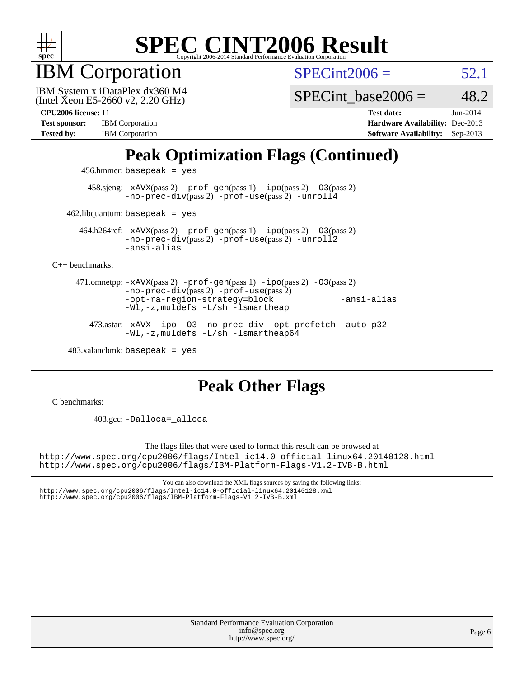

IBM Corporation

 $SPECint2006 = 52.1$  $SPECint2006 = 52.1$ 

(Intel Xeon E5-2660 v2, 2.20 GHz) IBM System x iDataPlex dx360 M4

SPECint base2006 =  $48.2$ 

| <b>Test sponsor:</b> | <b>IBM</b> Corporation |
|----------------------|------------------------|
| <b>Tested by:</b>    | <b>IBM</b> Corporation |

**[CPU2006 license:](http://www.spec.org/auto/cpu2006/Docs/result-fields.html#CPU2006license)** 11 **[Test date:](http://www.spec.org/auto/cpu2006/Docs/result-fields.html#Testdate)** Jun-2014 **[Hardware Availability:](http://www.spec.org/auto/cpu2006/Docs/result-fields.html#HardwareAvailability)** Dec-2013 **[Software Availability:](http://www.spec.org/auto/cpu2006/Docs/result-fields.html#SoftwareAvailability)** Sep-2013

### **[Peak Optimization Flags \(Continued\)](http://www.spec.org/auto/cpu2006/Docs/result-fields.html#PeakOptimizationFlags)**

456.hmmer: basepeak = yes

 458.sjeng: [-xAVX](http://www.spec.org/cpu2006/results/res2014q3/cpu2006-20140617-29943.flags.html#user_peakPASS2_CFLAGSPASS2_LDCFLAGS458_sjeng_f-xAVX)(pass 2) [-prof-gen](http://www.spec.org/cpu2006/results/res2014q3/cpu2006-20140617-29943.flags.html#user_peakPASS1_CFLAGSPASS1_LDCFLAGS458_sjeng_prof_gen_e43856698f6ca7b7e442dfd80e94a8fc)(pass 1) [-ipo](http://www.spec.org/cpu2006/results/res2014q3/cpu2006-20140617-29943.flags.html#user_peakPASS2_CFLAGSPASS2_LDCFLAGS458_sjeng_f-ipo)(pass 2) [-O3](http://www.spec.org/cpu2006/results/res2014q3/cpu2006-20140617-29943.flags.html#user_peakPASS2_CFLAGSPASS2_LDCFLAGS458_sjeng_f-O3)(pass 2) [-no-prec-div](http://www.spec.org/cpu2006/results/res2014q3/cpu2006-20140617-29943.flags.html#user_peakPASS2_CFLAGSPASS2_LDCFLAGS458_sjeng_f-no-prec-div)(pass 2) [-prof-use](http://www.spec.org/cpu2006/results/res2014q3/cpu2006-20140617-29943.flags.html#user_peakPASS2_CFLAGSPASS2_LDCFLAGS458_sjeng_prof_use_bccf7792157ff70d64e32fe3e1250b55)(pass 2) [-unroll4](http://www.spec.org/cpu2006/results/res2014q3/cpu2006-20140617-29943.flags.html#user_peakCOPTIMIZE458_sjeng_f-unroll_4e5e4ed65b7fd20bdcd365bec371b81f)

 $462$ .libquantum: basepeak = yes

 464.h264ref: [-xAVX](http://www.spec.org/cpu2006/results/res2014q3/cpu2006-20140617-29943.flags.html#user_peakPASS2_CFLAGSPASS2_LDCFLAGS464_h264ref_f-xAVX)(pass 2) [-prof-gen](http://www.spec.org/cpu2006/results/res2014q3/cpu2006-20140617-29943.flags.html#user_peakPASS1_CFLAGSPASS1_LDCFLAGS464_h264ref_prof_gen_e43856698f6ca7b7e442dfd80e94a8fc)(pass 1) [-ipo](http://www.spec.org/cpu2006/results/res2014q3/cpu2006-20140617-29943.flags.html#user_peakPASS2_CFLAGSPASS2_LDCFLAGS464_h264ref_f-ipo)(pass 2) [-O3](http://www.spec.org/cpu2006/results/res2014q3/cpu2006-20140617-29943.flags.html#user_peakPASS2_CFLAGSPASS2_LDCFLAGS464_h264ref_f-O3)(pass 2) [-no-prec-div](http://www.spec.org/cpu2006/results/res2014q3/cpu2006-20140617-29943.flags.html#user_peakPASS2_CFLAGSPASS2_LDCFLAGS464_h264ref_f-no-prec-div)(pass 2) [-prof-use](http://www.spec.org/cpu2006/results/res2014q3/cpu2006-20140617-29943.flags.html#user_peakPASS2_CFLAGSPASS2_LDCFLAGS464_h264ref_prof_use_bccf7792157ff70d64e32fe3e1250b55)(pass 2) [-unroll2](http://www.spec.org/cpu2006/results/res2014q3/cpu2006-20140617-29943.flags.html#user_peakCOPTIMIZE464_h264ref_f-unroll_784dae83bebfb236979b41d2422d7ec2) [-ansi-alias](http://www.spec.org/cpu2006/results/res2014q3/cpu2006-20140617-29943.flags.html#user_peakCOPTIMIZE464_h264ref_f-ansi-alias)

[C++ benchmarks:](http://www.spec.org/auto/cpu2006/Docs/result-fields.html#CXXbenchmarks)

 471.omnetpp: [-xAVX](http://www.spec.org/cpu2006/results/res2014q3/cpu2006-20140617-29943.flags.html#user_peakPASS2_CXXFLAGSPASS2_LDCXXFLAGS471_omnetpp_f-xAVX)(pass 2) [-prof-gen](http://www.spec.org/cpu2006/results/res2014q3/cpu2006-20140617-29943.flags.html#user_peakPASS1_CXXFLAGSPASS1_LDCXXFLAGS471_omnetpp_prof_gen_e43856698f6ca7b7e442dfd80e94a8fc)(pass 1) [-ipo](http://www.spec.org/cpu2006/results/res2014q3/cpu2006-20140617-29943.flags.html#user_peakPASS2_CXXFLAGSPASS2_LDCXXFLAGS471_omnetpp_f-ipo)(pass 2) [-O3](http://www.spec.org/cpu2006/results/res2014q3/cpu2006-20140617-29943.flags.html#user_peakPASS2_CXXFLAGSPASS2_LDCXXFLAGS471_omnetpp_f-O3)(pass 2) [-no-prec-div](http://www.spec.org/cpu2006/results/res2014q3/cpu2006-20140617-29943.flags.html#user_peakPASS2_CXXFLAGSPASS2_LDCXXFLAGS471_omnetpp_f-no-prec-div)(pass 2) [-prof-use](http://www.spec.org/cpu2006/results/res2014q3/cpu2006-20140617-29943.flags.html#user_peakPASS2_CXXFLAGSPASS2_LDCXXFLAGS471_omnetpp_prof_use_bccf7792157ff70d64e32fe3e1250b55)(pass 2) [-opt-ra-region-strategy=block](http://www.spec.org/cpu2006/results/res2014q3/cpu2006-20140617-29943.flags.html#user_peakCXXOPTIMIZE471_omnetpp_f-opt-ra-region-strategy_5382940c29ea30302d682fc74bfe0147) [-ansi-alias](http://www.spec.org/cpu2006/results/res2014q3/cpu2006-20140617-29943.flags.html#user_peakCXXOPTIMIZE471_omnetpp_f-ansi-alias) [-Wl,-z,muldefs](http://www.spec.org/cpu2006/results/res2014q3/cpu2006-20140617-29943.flags.html#user_peakEXTRA_LDFLAGS471_omnetpp_link_force_multiple1_74079c344b956b9658436fd1b6dd3a8a) [-L/sh -lsmartheap](http://www.spec.org/cpu2006/results/res2014q3/cpu2006-20140617-29943.flags.html#user_peakEXTRA_LIBS471_omnetpp_SmartHeap_32f6c82aa1ed9c52345d30cf6e4a0499)

 473.astar: [-xAVX](http://www.spec.org/cpu2006/results/res2014q3/cpu2006-20140617-29943.flags.html#user_peakCXXOPTIMIZE473_astar_f-xAVX) [-ipo](http://www.spec.org/cpu2006/results/res2014q3/cpu2006-20140617-29943.flags.html#user_peakCXXOPTIMIZE473_astar_f-ipo) [-O3](http://www.spec.org/cpu2006/results/res2014q3/cpu2006-20140617-29943.flags.html#user_peakCXXOPTIMIZE473_astar_f-O3) [-no-prec-div](http://www.spec.org/cpu2006/results/res2014q3/cpu2006-20140617-29943.flags.html#user_peakCXXOPTIMIZE473_astar_f-no-prec-div) [-opt-prefetch](http://www.spec.org/cpu2006/results/res2014q3/cpu2006-20140617-29943.flags.html#user_peakCXXOPTIMIZE473_astar_f-opt-prefetch) [-auto-p32](http://www.spec.org/cpu2006/results/res2014q3/cpu2006-20140617-29943.flags.html#user_peakCXXOPTIMIZE473_astar_f-auto-p32) [-Wl,-z,muldefs](http://www.spec.org/cpu2006/results/res2014q3/cpu2006-20140617-29943.flags.html#user_peakEXTRA_LDFLAGS473_astar_link_force_multiple1_74079c344b956b9658436fd1b6dd3a8a) [-L/sh -lsmartheap64](http://www.spec.org/cpu2006/results/res2014q3/cpu2006-20140617-29943.flags.html#user_peakEXTRA_LIBS473_astar_SmartHeap64_ed4ef857ce90951921efb0d91eb88472)

 $483.xalanchmk: basepeak = yes$ 

### **[Peak Other Flags](http://www.spec.org/auto/cpu2006/Docs/result-fields.html#PeakOtherFlags)**

[C benchmarks](http://www.spec.org/auto/cpu2006/Docs/result-fields.html#Cbenchmarks):

403.gcc: [-Dalloca=\\_alloca](http://www.spec.org/cpu2006/results/res2014q3/cpu2006-20140617-29943.flags.html#b403.gcc_peakEXTRA_CFLAGS_Dalloca_be3056838c12de2578596ca5467af7f3)

The flags files that were used to format this result can be browsed at <http://www.spec.org/cpu2006/flags/Intel-ic14.0-official-linux64.20140128.html> <http://www.spec.org/cpu2006/flags/IBM-Platform-Flags-V1.2-IVB-B.html>

You can also download the XML flags sources by saving the following links: <http://www.spec.org/cpu2006/flags/Intel-ic14.0-official-linux64.20140128.xml> <http://www.spec.org/cpu2006/flags/IBM-Platform-Flags-V1.2-IVB-B.xml>